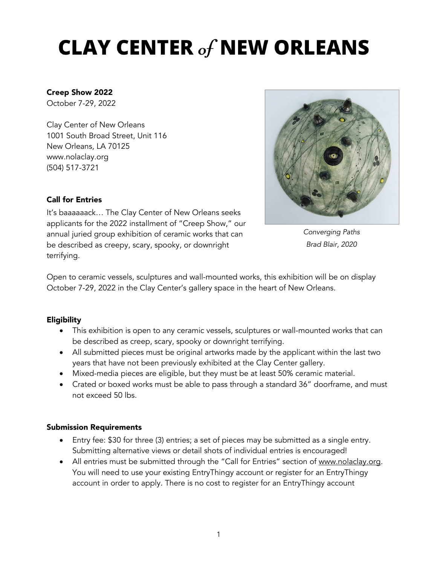# CLAY CENTER of NEW ORLEANS

## Creep Show 2022

October 7-29, 2022

Clay Center of New Orleans 1001 South Broad Street, Unit 116 New Orleans, LA 70125 www.nolaclay.org (504) 517-3721

### Call for Entries

It's baaaaaack… The Clay Center of New Orleans seeks applicants for the 2022 installment of "Creep Show," our annual juried group exhibition of ceramic works that can be described as creepy, scary, spooky, or downright terrifying.



*Converging Paths Brad Blair, 2020*

Open to ceramic vessels, sculptures and wall-mounted works, this exhibition will be on display October 7-29, 2022 in the Clay Center's gallery space in the heart of New Orleans.

## Eligibility

- This exhibition is open to any ceramic vessels, sculptures or wall-mounted works that can be described as creep, scary, spooky or downright terrifying.
- All submitted pieces must be original artworks made by the applicant within the last two years that have not been previously exhibited at the Clay Center gallery.
- Mixed-media pieces are eligible, but they must be at least 50% ceramic material.
- Crated or boxed works must be able to pass through a standard 36" doorframe, and must not exceed 50 lbs.

#### Submission Requirements

- Entry fee: \$30 for three (3) entries; a set of pieces may be submitted as a single entry. Submitting alternative views or detail shots of individual entries is encouraged!
- All entries must be submitted through the "Call for Entries" section of www.nolaclay.org. You will need to use your existing EntryThingy account or register for an EntryThingy account in order to apply. There is no cost to register for an EntryThingy account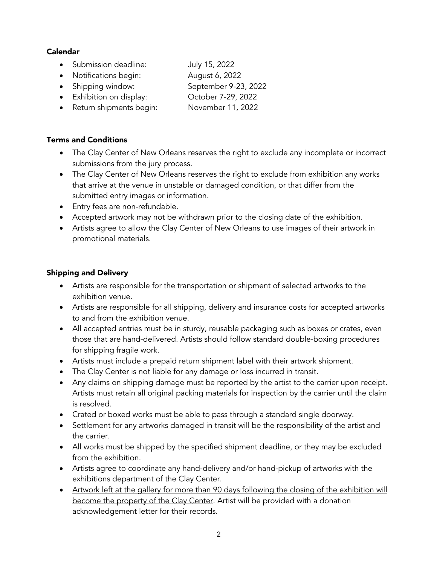## Calendar

- Submission deadline: July 15, 2022
- Notifications begin: August 6, 2022
- Shipping window: September 9-23, 2022
- Exhibition on display: October 7-29, 2022
- Return shipments begin: November 11, 2022

# Terms and Conditions

- The Clay Center of New Orleans reserves the right to exclude any incomplete or incorrect submissions from the jury process.
- The Clay Center of New Orleans reserves the right to exclude from exhibition any works that arrive at the venue in unstable or damaged condition, or that differ from the submitted entry images or information.
- Entry fees are non-refundable.
- Accepted artwork may not be withdrawn prior to the closing date of the exhibition.
- Artists agree to allow the Clay Center of New Orleans to use images of their artwork in promotional materials.

# Shipping and Delivery

- Artists are responsible for the transportation or shipment of selected artworks to the exhibition venue.
- Artists are responsible for all shipping, delivery and insurance costs for accepted artworks to and from the exhibition venue.
- All accepted entries must be in sturdy, reusable packaging such as boxes or crates, even those that are hand-delivered. Artists should follow standard double-boxing procedures for shipping fragile work.
- Artists must include a prepaid return shipment label with their artwork shipment.
- The Clay Center is not liable for any damage or loss incurred in transit.
- Any claims on shipping damage must be reported by the artist to the carrier upon receipt. Artists must retain all original packing materials for inspection by the carrier until the claim is resolved.
- Crated or boxed works must be able to pass through a standard single doorway.
- Settlement for any artworks damaged in transit will be the responsibility of the artist and the carrier.
- All works must be shipped by the specified shipment deadline, or they may be excluded from the exhibition.
- Artists agree to coordinate any hand-delivery and/or hand-pickup of artworks with the exhibitions department of the Clay Center.
- Artwork left at the gallery for more than 90 days following the closing of the exhibition will become the property of the Clay Center. Artist will be provided with a donation acknowledgement letter for their records.